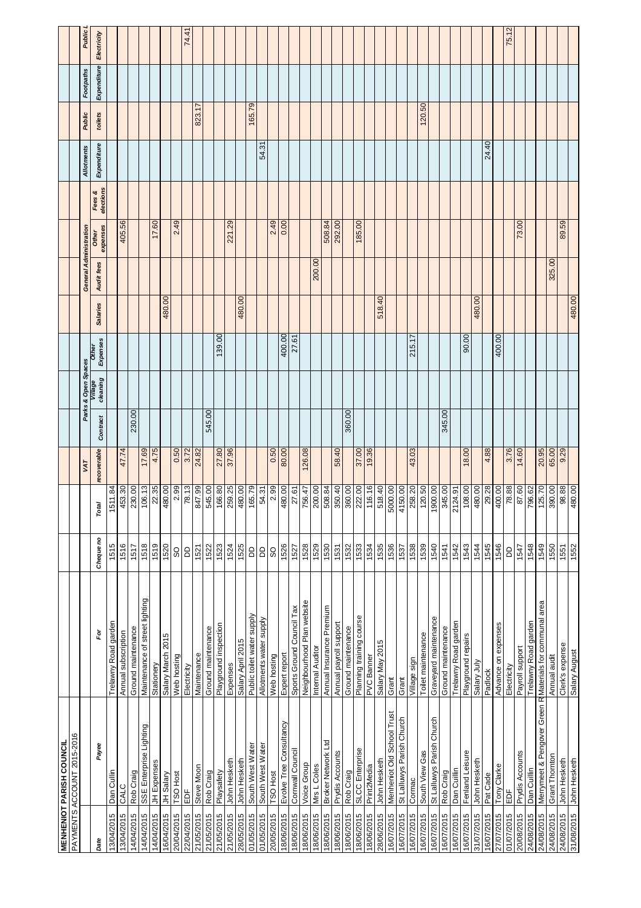|            | <b>MENHENIOT PARISH COUNCIL</b>                          |                                |           |         |             |          |                     |                          |                 |                        |                   |                     |                         |         |             |             |
|------------|----------------------------------------------------------|--------------------------------|-----------|---------|-------------|----------|---------------------|--------------------------|-----------------|------------------------|-------------------|---------------------|-------------------------|---------|-------------|-------------|
|            | PAYMENTS ACCOUNT 2015-2016                               |                                |           |         |             |          |                     |                          |                 |                        |                   |                     |                         |         |             |             |
|            |                                                          |                                |           |         | VAT         |          | Parks & Open Spaces |                          |                 | General Administration |                   |                     | Allotments              | Public  | Footpaths   | Public      |
| Date       | Payee                                                    | è                              | Cheque no | Total   | recoverable | Contract | cleaning<br>village | Expenses<br><b>Other</b> | <b>Salaries</b> | Audit fees             | expenses<br>Other | elections<br>Fees & | Expenditure             | toilets | Expenditure | Electricity |
| 13/04/2015 | Dan Cullin                                               | Trelawny Road garden           | 1515      | 1511.84 |             |          |                     |                          |                 |                        |                   |                     |                         |         |             |             |
| 13/04/2015 | CALC                                                     | Annual subscription            | 1516      | 453.30  | 47.74       |          |                     |                          |                 |                        | 405.56            |                     |                         |         |             |             |
| 14/04/2015 | Rob Craig                                                | Ground maintenance             | 1517      | 230.00  |             | 230.00   |                     |                          |                 |                        |                   |                     |                         |         |             |             |
| 14/04/2015 | SSE Enterprise Lighting                                  | Maintenance of street lighting | 1518      | 106.13  | 17.69       |          |                     |                          |                 |                        |                   |                     |                         |         |             |             |
| 14/04/2015 | JH Expenses                                              | Stationery                     | 1519      | 22.35   | 4.75        |          |                     |                          |                 |                        | 17.60             |                     |                         |         |             |             |
| 16/04/2015 | JH Salary                                                | Salary March 2015              | 1520      | 480.00  |             |          |                     |                          | 480.00          |                        |                   |                     |                         |         |             |             |
| 20/04/2015 | TSO Host                                                 | Web hosting                    | S         | 2.99    | 0.50        |          |                     |                          |                 |                        | 2.49              |                     |                         |         |             |             |
| 22/04/2015 | EDF                                                      | Electricity                    | 6         | 78.13   | 3.72        |          |                     |                          |                 |                        |                   |                     |                         |         |             | 74.41       |
| 21/05/2015 | Steve Moon                                               | Maintenance                    | 1521      | 847.99  | 24.82       |          |                     |                          |                 |                        |                   |                     |                         | 823.17  |             |             |
| 21/05/2015 | Rob Craig                                                | Ground maintenance             | 1522      | 545.00  |             | 545.00   |                     |                          |                 |                        |                   |                     |                         |         |             |             |
| 21/05/2015 | Playsafety                                               | Playground inspection          | 1523      | 166.80  | 27.80       |          |                     | 139.00                   |                 |                        |                   |                     |                         |         |             |             |
| 21/05/2015 | John Hesketh                                             | Expenses                       | 1524      | 259.25  | 37.96       |          |                     |                          |                 |                        | 221.29            |                     |                         |         |             |             |
| 28/05/2015 | John Hesketh                                             | Salary April 2015              | 1525      | 480.00  |             |          |                     |                          | 480.00          |                        |                   |                     |                         |         |             |             |
| 01/05/2015 | South West Water                                         | Public toilet water supply     | 6         | 165.79  |             |          |                     |                          |                 |                        |                   |                     |                         | 165.79  |             |             |
| 01/05/2015 | South West Water                                         | Allotments water supply        | 6         | 54.31   |             |          |                     |                          |                 |                        |                   |                     | $\tilde{\omega}$<br>54. |         |             |             |
| 20/05/2015 | <b>TSO Host</b>                                          | Web hosting                    | SO        | 2.99    | 0.50        |          |                     |                          |                 |                        | 2.49              |                     |                         |         |             |             |
| 18/06/2015 | Evolve Tree Consultancy                                  | Expert report                  | 1526      | 480.00  | 80.00       |          |                     | 400.00                   |                 |                        | 0.00              |                     |                         |         |             |             |
| 18/06/2015 | Cornwall Council                                         | Sports Ground Council Tax      | 1527      | 27.61   |             |          |                     | 27.61                    |                 |                        |                   |                     |                         |         |             |             |
| 18/06/2015 | <b>Voice Group</b>                                       | Neighbourhood Plan website     | 1528      | 756.47  | 126.08      |          |                     |                          |                 |                        |                   |                     |                         |         |             |             |
| 18/06/2015 | Mrs L Coles                                              | Internal Auditor               | 1529      | 200.00  |             |          |                     |                          |                 | 200.00                 |                   |                     |                         |         |             |             |
| 18/06/2015 | Broker Network Ltd                                       | Annual Insurance Premium       | 1530      | 508.84  |             |          |                     |                          |                 |                        | 508.84            |                     |                         |         |             |             |
| 18/06/2015 | Prydis Accounts                                          | Annual payroll support         | 1531      | 350.40  | 58.40       |          |                     |                          |                 |                        | 292.00            |                     |                         |         |             |             |
| 18/06/2015 | Rob Craig                                                | Ground maintenance             | 1532      | 360.00  |             | 360.00   |                     |                          |                 |                        |                   |                     |                         |         |             |             |
| 18/06/2015 | SLCC Enterprise                                          | Planning training course       | 1533      | 222.00  | 37.00       |          |                     |                          |                 |                        | 185.00            |                     |                         |         |             |             |
| 18/06/2015 | Print2Media                                              | PVC Banner                     | 1534      | 116.16  | 19.36       |          |                     |                          |                 |                        |                   |                     |                         |         |             |             |
| 28/06/2015 | John Hesketh                                             | Salary May 2015                | 1535      | 518.40  |             |          |                     |                          | 518.40          |                        |                   |                     |                         |         |             |             |
| 16/07/2015 | Menheniot Old School Trust                               | Grant                          | 1536      | 5000.00 |             |          |                     |                          |                 |                        |                   |                     |                         |         |             |             |
| 16/07/2015 | St Lalluwys Parish Church                                | Grant                          | 1537      | 4150.00 |             |          |                     |                          |                 |                        |                   |                     |                         |         |             |             |
| 16/07/2015 | Cormac                                                   | Village sign                   | 1538      | 258.20  | 43.03       |          |                     | 215.17                   |                 |                        |                   |                     |                         |         |             |             |
| 16/07/2015 | South View Gas                                           | Toilet maintenance             | 1539      | 120.50  |             |          |                     |                          |                 |                        |                   |                     |                         | 120.50  |             |             |
| 16/07/2015 | St Lalluwys Parish Church                                | Graveyard maintenance          | 1540      | 1900.00 |             |          |                     |                          |                 |                        |                   |                     |                         |         |             |             |
| 16/07/2015 | Rob Craig                                                | Ground maintenance             | 1541      | 345.00  |             | 345.00   |                     |                          |                 |                        |                   |                     |                         |         |             |             |
| 16/07/2015 | Dan Cuillin                                              | Trelawny Road garden           | 1542      | 2124.91 |             |          |                     |                          |                 |                        |                   |                     |                         |         |             |             |
| 16/07/2015 | Fenland Leisure                                          | Playground repairs             | 1543      | 108.00  | 18.00       |          |                     | 90.00                    |                 |                        |                   |                     |                         |         |             |             |
| 31/07/2015 | John Hesketh                                             | Salary July                    | 1544      | 480.00  |             |          |                     |                          | 480.00          |                        |                   |                     |                         |         |             |             |
| 16/07/2015 | Pat Cade                                                 | Padlock                        | 1545      | 29.28   | 4.88        |          |                     |                          |                 |                        |                   |                     | 24.40                   |         |             |             |
| 27/07/2015 | Tony Clarke                                              | Advance on expenses            | 1546      | 400.00  |             |          |                     | 400.00                   |                 |                        |                   |                     |                         |         |             |             |
| 01/07/2015 | $\overline{BD}$                                          | Electricity                    | GQ        | 78.88   | 3.76        |          |                     |                          |                 |                        |                   |                     |                         |         |             | 75.12       |
| 20/08/2015 | Prydis Accounts                                          | Payroll support                | 1547      | 87.60   | 14.60       |          |                     |                          |                 |                        | 73.00             |                     |                         |         |             |             |
| 24/08/2015 | Dan Cuillin                                              | Trelawny Road garden           | 1548      | 796.62  |             |          |                     |                          |                 |                        |                   |                     |                         |         |             |             |
| 24/08/2015 | Merrymeet & Pengover Green R Materials for communal area |                                | 1549      | 125.70  | 20.95       |          |                     |                          |                 |                        |                   |                     |                         |         |             |             |
| 24/08/2015 | Grant Thornton                                           | Annual audit                   | 1550      | 390.00  | 65.00       |          |                     |                          |                 | 325.00                 |                   |                     |                         |         |             |             |
| 24/08/2015 | John Hesketh                                             | Clerk's expense                | 1551      | 98.88   | 9.29        |          |                     |                          |                 |                        | 89.59             |                     |                         |         |             |             |
| 31/08/2015 | John Hesketh                                             | Salary August                  | 1552      | 480.00  |             |          |                     |                          | 480.00          |                        |                   |                     |                         |         |             |             |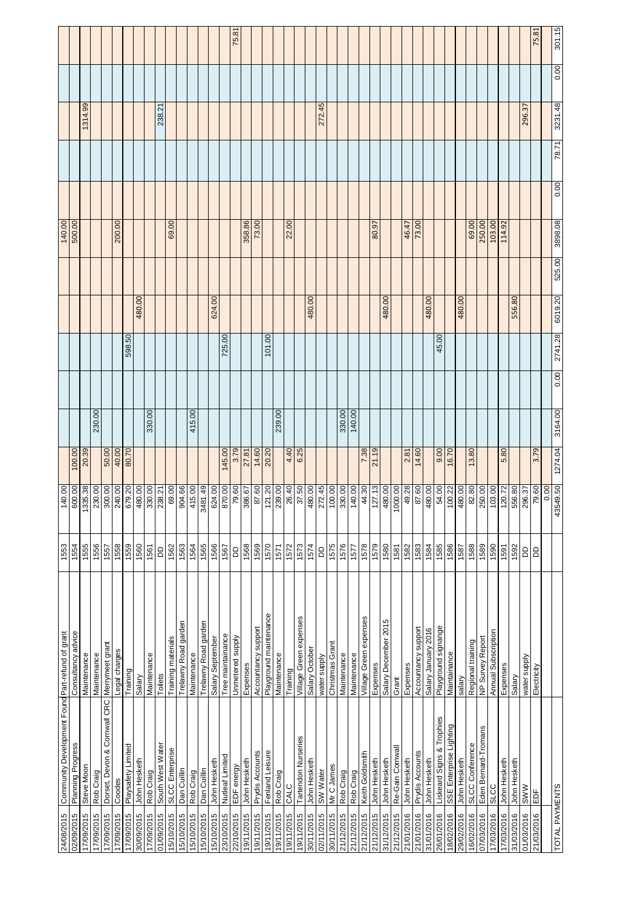| 24/08/2015     | Community Development Found Part-refund of grant |                        | 1553         | 140.00   |         |         |      |         |         |        | 140.00  |      |       |         |      |        |
|----------------|--------------------------------------------------|------------------------|--------------|----------|---------|---------|------|---------|---------|--------|---------|------|-------|---------|------|--------|
| 02/09/2015     | Planning Progress                                | Consultancy advice     | 1554         | 600.00   | 100.00  |         |      |         |         |        | 500.00  |      |       |         |      |        |
| 17/09/2015     | Steve Moon                                       | Maintenance            | 1555         | 335.38   | 20.39   |         |      |         |         |        |         |      |       | 1314.99 |      |        |
| 17/09/2015     | Rob Craig                                        | Maintenance            | 1556         | 230.00   |         | 230.00  |      |         |         |        |         |      |       |         |      |        |
| 17/09/2015     | Dorset, Devon & Cornwall CRC                     | Merrymeet grant        | 1557         | 300.00   | 50.00   |         |      |         |         |        |         |      |       |         |      |        |
| 17/09/2015     | Coodes                                           | Legal charges          | 1558         | 240.00   | 40.00   |         |      |         |         |        | 200.00  |      |       |         |      |        |
| 17/09/2015     | Playsafety Limited                               | Training               | 1559         | 679.20   | 80.70   |         |      | 598.50  |         |        |         |      |       |         |      |        |
| 30/09/2015     | John Hesketh                                     | Salary                 | 1560         | 480.00   |         |         |      |         | 480.00  |        |         |      |       |         |      |        |
| 17/09/2015     | Rob Craig                                        | Maintenance            | 1561         | 330.00   |         | 330.00  |      |         |         |        |         |      |       |         |      |        |
| 01/09/2015     | South West Water                                 | Toilets                | 6            | 238.21   |         |         |      |         |         |        |         |      |       | 238.2   |      |        |
| 15/10/2015     | SLCC Enterprise                                  | Training materials     | 1562         | 69.00    |         |         |      |         |         |        | 69.00   |      |       |         |      |        |
| 15/10/2015     | Dan Cuillin                                      | Trelawny Road garden   | 1563         | 904.66   |         |         |      |         |         |        |         |      |       |         |      |        |
| 15/10/2015     | Rob Craig                                        | Maintenance            | 1564         | 415.00   |         | 415.00  |      |         |         |        |         |      |       |         |      |        |
| 15/10/2015     | Dan Cuillin                                      | Trelawny Road garden   | 1565         | 3481.49  |         |         |      |         |         |        |         |      |       |         |      |        |
| 15/10/2015     | John Hesketh                                     | Salary September       | 1566         | 624.00   |         |         |      |         | 624.00  |        |         |      |       |         |      |        |
| 23/10/2015     | Nutleaf Limited                                  | Tree maintainance      | 1567         | 870.00   | 145.00  |         |      | 725.00  |         |        |         |      |       |         |      |        |
| 22/10/2015     | EDF energy                                       | Unmetered supply       | $\mathsf{B}$ | 79.60    | 3.79    |         |      |         |         |        |         |      |       |         |      | 75.81  |
| 19/11/2015     | John Hesketh                                     | Expenses               | 1568         | 386.67   | 27.81   |         |      |         |         |        | 358.86  |      |       |         |      |        |
| 19/11/2015     | Prydis Accounts                                  | Accountancy support    | 1569         | 87.60    | 14.60   |         |      |         |         |        | 73.00   |      |       |         |      |        |
| 19/11/2015     | Fenland Leisure                                  | Playground maintenance | 1570         | 121.20   | 20.20   |         |      | 101.00  |         |        |         |      |       |         |      |        |
| 19/11/2015     | Rob Craig                                        | Maintenance            | 1571         | 239.00   |         | 239.00  |      |         |         |        |         |      |       |         |      |        |
| 19/11/2015     | CALC                                             | Training               | 1572         | 26.40    | 4.40    |         |      |         |         |        | 22.00   |      |       |         |      |        |
| 19/11/2015     | Tartendon Nurseries                              | Village Green expenses | 1573         | 37.50    | 6.25    |         |      |         |         |        |         |      |       |         |      |        |
| 30/11/2015     | John Hesketh                                     | Salary October         | 1574         | 480.00   |         |         |      |         | 480.00  |        |         |      |       |         |      |        |
| 02/11/2015     | SW Water                                         | water supply           | $\mathsf{B}$ | 272.45   |         |         |      |         |         |        |         |      |       | 272.45  |      |        |
| 30/11/2015     | Mr C James                                       | Christmas Grant        | 1575         | 100.00   |         |         |      |         |         |        |         |      |       |         |      |        |
| 21/12/2015     | Rob Craig                                        | Maintenance            | 1576         | 330.00   |         | 330.00  |      |         |         |        |         |      |       |         |      |        |
| 21/12/2015     | Rob Craig                                        | Maintenance            | 1577         | 140.00   |         | 140.00  |      |         |         |        |         |      |       |         |      |        |
| 21/12/2015     | Keith Goldsmith                                  | Village Green expenses | 1578         | 44.30    | 7.38    |         |      |         |         |        |         |      |       |         |      |        |
| 21/12/2015     | John Hesketh                                     | Expenses               | 1579         | 127.13   | 21.19   |         |      |         |         |        | 80.97   |      |       |         |      |        |
| 31/12/2015     | John Hesketh                                     | Salary December 2015   | 1580         | 480.00   |         |         |      |         | 480.00  |        |         |      |       |         |      |        |
| 21/12/2015     | Re-Gain Cornwal                                  | Grant                  | 1581         | 1000.00  |         |         |      |         |         |        |         |      |       |         |      |        |
| 21/01/2016     | John Hesketh                                     | Expenses               | 1582         | 49.28    | 2.81    |         |      |         |         |        | 46.47   |      |       |         |      |        |
| 21/01/2016     | Prydis Accounts                                  | Accountancy support    | 1583         | 87.60    | 14.60   |         |      |         |         |        | 73.00   |      |       |         |      |        |
| 31/01/2016     | John Hesketh                                     | Salary January 2016    | 1584         | 480.00   |         |         |      |         | 480.00  |        |         |      |       |         |      |        |
| 26/01/2016     | Liskeard Signs & Trophies                        | Playground signange    | 1585         | 54.00    | 0.60    |         |      | 45.00   |         |        |         |      |       |         |      |        |
| 18/02/2016     | SSE Enterprise Lighting                          | Maintainance           | 1586         | 100.22   | 16.70   |         |      |         |         |        |         |      |       |         |      |        |
| 29/02/2016     | John Hesketh                                     | salary                 | 1587         | 480.00   |         |         |      |         | 480.00  |        |         |      |       |         |      |        |
| 16/02/2016     | SLCC Conference                                  | Regional training      | 1588         | 82.80    | 13.80   |         |      |         |         |        | 69.00   |      |       |         |      |        |
| 07/03/2016     | Eden Bernard-Tromans                             | NP Survey Report       | 1589         | 250.00   |         |         |      |         |         |        | 250.00  |      |       |         |      |        |
| 17/03/2016     | <b>SLCC</b>                                      | Annual Subscription    | 1590         | 103.00   |         |         |      |         |         |        | 103.00  |      |       |         |      |        |
| 17/03/2016     | John Hesketh                                     | Expenses               | 1591         | 120.72   | 5.80    |         |      |         |         |        | 114.92  |      |       |         |      |        |
| 31/03/2016     | John Hesketh                                     | Salary                 | 1592         | 556.80   |         |         |      |         | 556.80  |        |         |      |       |         |      |        |
| 01/03/2016     | <b>MWS</b>                                       | water supply           | <b>BD</b>    | 296.37   |         |         |      |         |         |        |         |      |       | 296.37  |      |        |
| 21/03/2016     | EDF                                              | Electricity            | <b>B</b>     | 79.60    | 3.79    |         |      |         |         |        |         |      |       |         |      | 75.81  |
|                |                                                  |                        |              | 0.00     |         |         |      |         |         |        |         |      |       |         |      |        |
| TOTAL PAYMENTS |                                                  |                        |              | 43549.50 | 1274.04 | 3164.00 | 0.00 | 2741.28 | 6019.20 | 525.00 | 3898.08 | 0.00 | 78.71 | 3231.48 | 0.00 | 301.15 |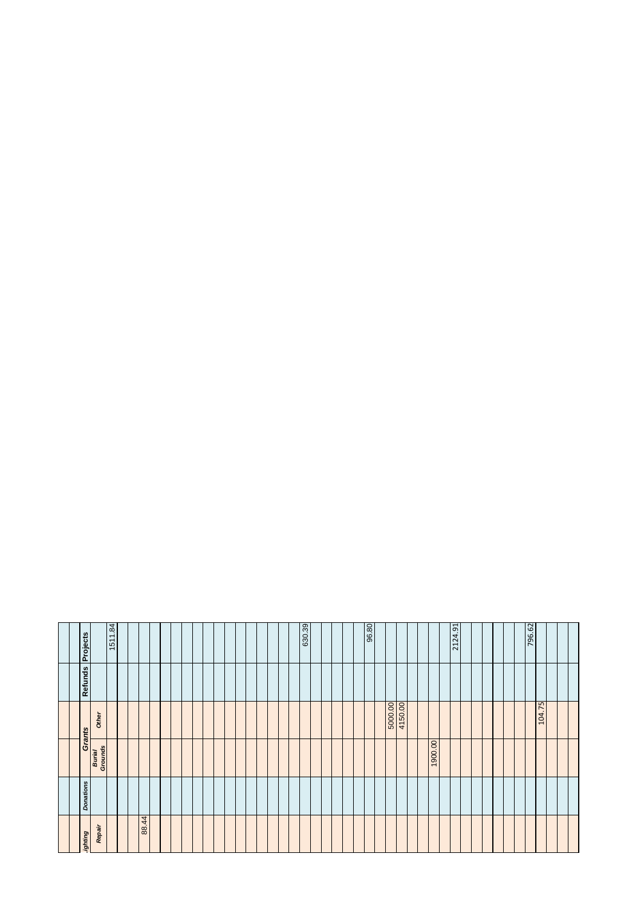| Projects         | 1511.84           |       |  |  |  |  |  | 630.39 |  |  | 96.80 |                    |  |        | 2124.91 |  |  | 796.62 |        |  |
|------------------|-------------------|-------|--|--|--|--|--|--------|--|--|-------|--------------------|--|--------|---------|--|--|--------|--------|--|
| <b>Refunds</b>   |                   |       |  |  |  |  |  |        |  |  |       |                    |  |        |         |  |  |        |        |  |
| <b>Grants</b>    | Other             |       |  |  |  |  |  |        |  |  |       | 4150.00<br>5000.00 |  |        |         |  |  |        | 104.75 |  |
|                  | Burial<br>Grounds |       |  |  |  |  |  |        |  |  |       |                    |  | 00'006 |         |  |  |        |        |  |
| <b>Donations</b> |                   |       |  |  |  |  |  |        |  |  |       |                    |  |        |         |  |  |        |        |  |
| <b>ghting</b>    | Repair            | 88.44 |  |  |  |  |  |        |  |  |       |                    |  |        |         |  |  |        |        |  |
|                  |                   |       |  |  |  |  |  |        |  |  |       |                    |  |        |         |  |  |        |        |  |